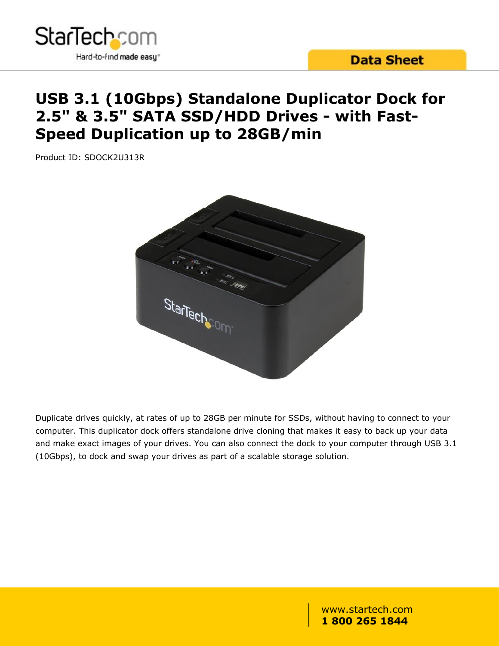

# **USB 3.1 (10Gbps) Standalone Duplicator Dock for 2.5" & 3.5" SATA SSD/HDD Drives - with Fast-Speed Duplication up to 28GB/min**

Product ID: SDOCK2U313R



Duplicate drives quickly, at rates of up to 28GB per minute for SSDs, without having to connect to your computer. This duplicator dock offers standalone drive cloning that makes it easy to back up your data and make exact images of your drives. You can also connect the dock to your computer through USB 3.1 (10Gbps), to dock and swap your drives as part of a scalable storage solution.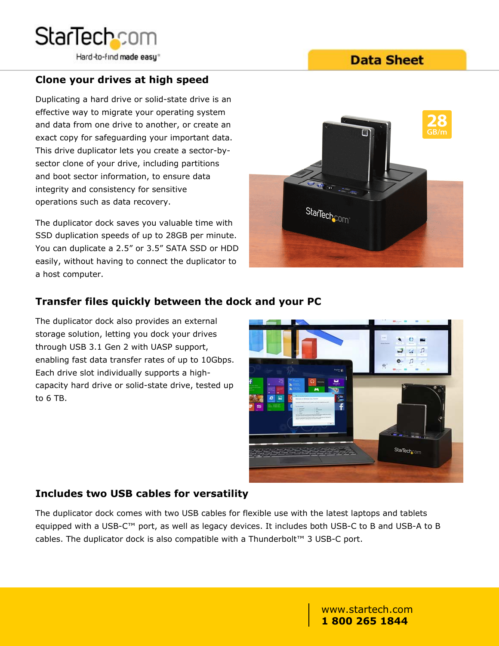

**Data Sheet** 

## **Clone your drives at high speed**

Duplicating a hard drive or solid-state drive is an effective way to migrate your operating system and data from one drive to another, or create an exact copy for safeguarding your important data. This drive duplicator lets you create a sector-bysector clone of your drive, including partitions and boot sector information, to ensure data integrity and consistency for sensitive operations such as data recovery.

SSD duplication speeds of up to 28GB per minute. You can duplicate a 2.5" or 3.5" SATA SSD or HDD easily, without having to connect the duplicator to a host computer.



## **Transfer files quickly between the dock and your PC**

The duplicator dock also provides an external storage solution, letting you dock your drives through USB 3.1 Gen 2 with UASP support, enabling fast data transfer rates of up to 10Gbps. Each drive slot individually supports a highcapacity hard drive or solid-state drive, tested up to 6 TB.



#### **Includes two USB cables for versatility**

The duplicator dock comes with two USB cables for flexible use with the latest laptops and tablets equipped with a USB-C™ port, as well as legacy devices. It includes both USB-C to B and USB-A to B cables. The duplicator dock is also compatible with a Thunderbolt™ 3 USB-C port.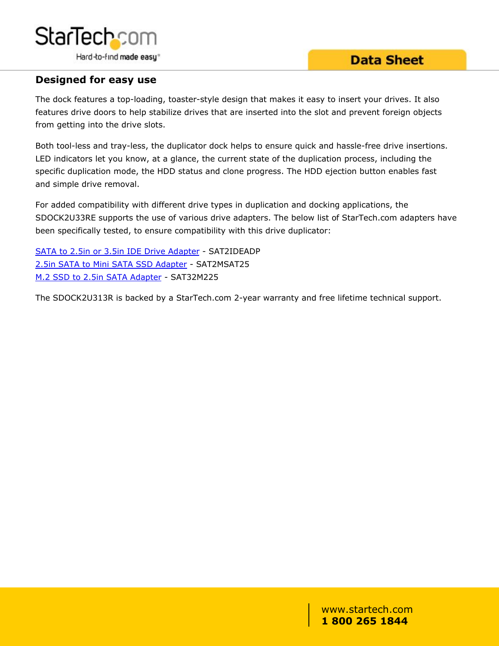

## **Data Sheet**

### **Designed for easy use**

The dock features a top-loading, toaster-style design that makes it easy to insert your drives. It also features drive doors to help stabilize drives that are inserted into the slot and prevent foreign objects from getting into the drive slots.

Both tool-less and tray-less, the duplicator dock helps to ensure quick and hassle-free drive insertions. LED indicators let you know, at a glance, the current state of the duplication process, including the specific duplication mode, the HDD status and clone progress. The HDD ejection button enables fast and simple drive removal.

For added compatibility with different drive types in duplication and docking applications, the SDOCK2U33RE supports the use of various drive adapters. The below list of StarTech.com adapters have been specifically tested, to ensure compatibility with this drive duplicator:

[SATA to 2.5in or 3.5in IDE Drive Adapter](/HDD/Adapters/SATA-to-IDE-Hard-Drive-Adapter-for-HDD-Docks~SAT2IDEADP) - SAT2IDEADP [2.5in SATA to Mini SATA SSD Adapter](/HDD/Adapters/25in-SATA-to-Mini-SATA-SSD-Adapter-Enclosure~SAT2MSAT25) - SAT2MSAT25 [M.2 SSD to 2.5in SATA Adapter](/HDD/Adapters/M-2-NGFF-SSD-to-2-5in-SATA-Adapter~SAT32M225) - SAT32M225

The SDOCK2U313R is backed by a StarTech.com 2-year warranty and free lifetime technical support.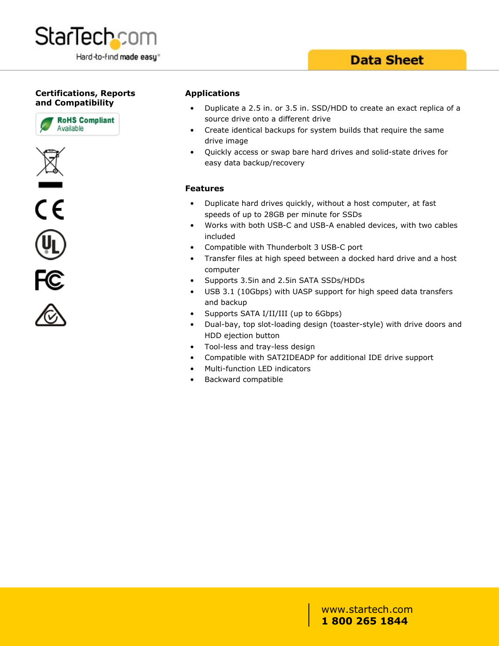

#### **Certifications, Reports and Compatibility**









#### **Applications**

- Duplicate a 2.5 in. or 3.5 in. SSD/HDD to create an exact replica of a source drive onto a different drive
- Create identical backups for system builds that require the same drive image
- Quickly access or swap bare hard drives and solid-state drives for easy data backup/recovery

#### **Features**

- Duplicate hard drives quickly, without a host computer, at fast speeds of up to 28GB per minute for SSDs
- Works with both USB-C and USB-A enabled devices, with two cables included
- Compatible with Thunderbolt 3 USB-C port
- Transfer files at high speed between a docked hard drive and a host computer
- Supports 3.5in and 2.5in SATA SSDs/HDDs
- USB 3.1 (10Gbps) with UASP support for high speed data transfers and backup
- Supports SATA I/II/III (up to 6Gbps)
- Dual-bay, top slot-loading design (toaster-style) with drive doors and HDD ejection button
- Tool-less and tray-less design
- Compatible with SAT2IDEADP for additional IDE drive support
- Multi-function LED indicators
- Backward compatible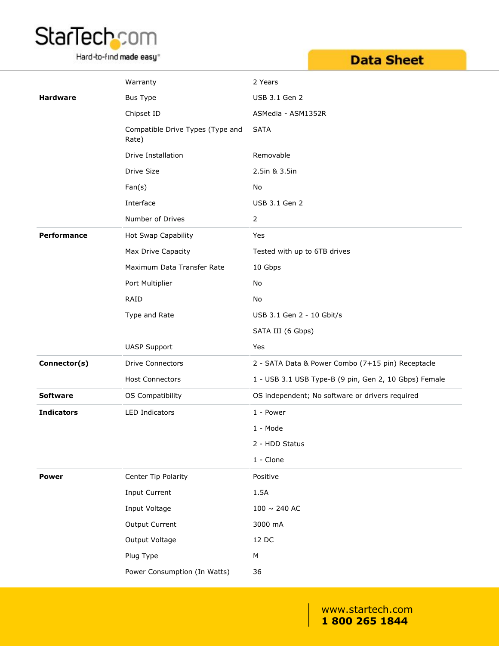

Hard-to-find made easy<sup>®</sup>

## **Data Sheet**

|                    | Warranty                                  | 2 Years                                               |
|--------------------|-------------------------------------------|-------------------------------------------------------|
| <b>Hardware</b>    | Bus Type                                  | USB 3.1 Gen 2                                         |
|                    | Chipset ID                                | ASMedia - ASM1352R                                    |
|                    | Compatible Drive Types (Type and<br>Rate) | <b>SATA</b>                                           |
|                    | Drive Installation                        | Removable                                             |
|                    | Drive Size                                | 2.5in & 3.5in                                         |
|                    | Fan(s)                                    | No                                                    |
|                    | Interface                                 | USB 3.1 Gen 2                                         |
|                    | Number of Drives                          | $\overline{2}$                                        |
| <b>Performance</b> | Hot Swap Capability                       | Yes                                                   |
|                    | Max Drive Capacity                        | Tested with up to 6TB drives                          |
|                    | Maximum Data Transfer Rate                | 10 Gbps                                               |
|                    | Port Multiplier                           | No                                                    |
|                    | RAID                                      | No                                                    |
|                    | Type and Rate                             | USB 3.1 Gen 2 - 10 Gbit/s                             |
|                    |                                           | SATA III (6 Gbps)                                     |
|                    | <b>UASP Support</b>                       | Yes                                                   |
| Connector(s)       | <b>Drive Connectors</b>                   | 2 - SATA Data & Power Combo (7+15 pin) Receptacle     |
|                    | <b>Host Connectors</b>                    | 1 - USB 3.1 USB Type-B (9 pin, Gen 2, 10 Gbps) Female |
| <b>Software</b>    | OS Compatibility                          | OS independent; No software or drivers required       |
| <b>Indicators</b>  | LED Indicators                            | 1 - Power                                             |
|                    |                                           | 1 - Mode                                              |
|                    |                                           | 2 - HDD Status                                        |
|                    |                                           | $1 -$ Clone                                           |
| <b>Power</b>       | Center Tip Polarity                       | Positive                                              |
|                    | Input Current                             | 1.5A                                                  |
|                    | Input Voltage                             | $100\sim 240$ AC                                      |
|                    | Output Current                            | 3000 mA                                               |
|                    | Output Voltage                            | 12 DC                                                 |
|                    | Plug Type                                 | ${\sf M}$                                             |
|                    | Power Consumption (In Watts)              | 36                                                    |
|                    |                                           |                                                       |